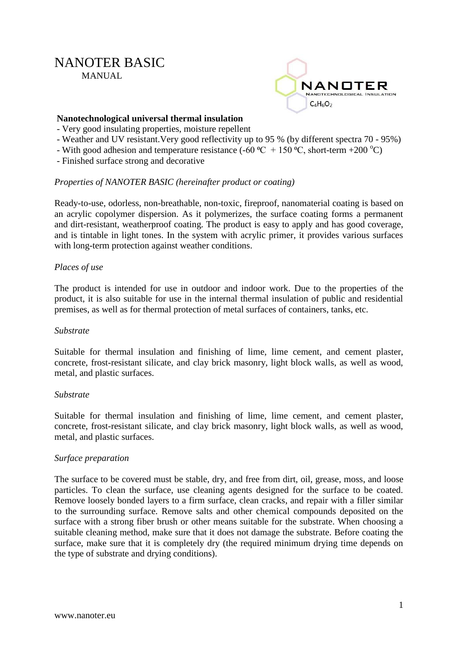# NANOTER BASIC MANUAL.



# **Nanotechnological universal thermal insulation**

- Very good insulating properties, moisture repellent
- Weather and UV resistant.Very good reflectivity up to 95 % (by different spectra 70 95%)
- With good adhesion and temperature resistance (-60  $^{\circ}C$  + 150  $^{\circ}C$ , short-term +200  $^{\circ}C$ )
- Finished surface strong and decorative

#### *Properties of NANOTER BASIC (hereinafter product or coating)*

Ready-to-use, odorless, non-breathable, non-toxic, fireproof, nanomaterial coating is based on an acrylic copolymer dispersion. As it polymerizes, the surface coating forms a permanent and dirt-resistant, weatherproof coating. The product is easy to apply and has good coverage, and is tintable in light tones. In the system with acrylic primer, it provides various surfaces with long-term protection against weather conditions.

# *Places of use*

The product is intended for use in outdoor and indoor work. Due to the properties of the product, it is also suitable for use in the internal thermal insulation of public and residential premises, as well as for thermal protection of metal surfaces of containers, tanks, etc.

#### *Substrate*

Suitable for thermal insulation and finishing of lime, lime cement, and cement plaster, concrete, frost-resistant silicate, and clay brick masonry, light block walls, as well as wood, metal, and plastic surfaces.

#### *Substrate*

Suitable for thermal insulation and finishing of lime, lime cement, and cement plaster, concrete, frost-resistant silicate, and clay brick masonry, light block walls, as well as wood, metal, and plastic surfaces.

#### *Surface preparation*

The surface to be covered must be stable, dry, and free from dirt, oil, grease, moss, and loose particles. To clean the surface, use cleaning agents designed for the surface to be coated. Remove loosely bonded layers to a firm surface, clean cracks, and repair with a filler similar to the surrounding surface. Remove salts and other chemical compounds deposited on the surface with a strong fiber brush or other means suitable for the substrate. When choosing a suitable cleaning method, make sure that it does not damage the substrate. Before coating the surface, make sure that it is completely dry (the required minimum drying time depends on the type of substrate and drying conditions).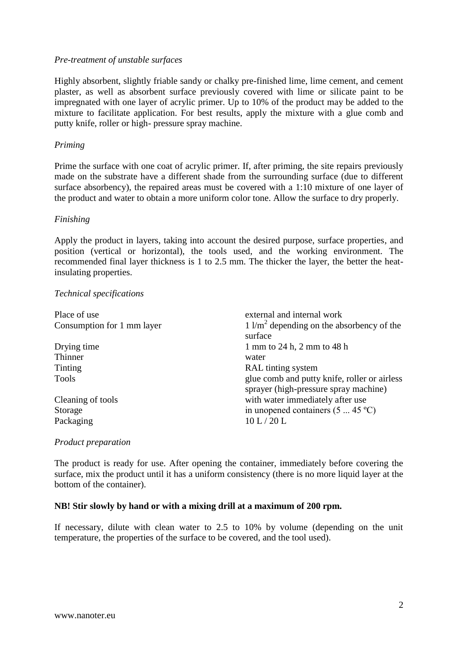#### *Pre-treatment of unstable surfaces*

Highly absorbent, slightly friable sandy or chalky pre-finished lime, lime cement, and cement plaster, as well as absorbent surface previously covered with lime or silicate paint to be impregnated with one layer of acrylic primer. Up to 10% of the product may be added to the mixture to facilitate application. For best results, apply the mixture with a glue comb and putty knife, roller or high- pressure spray machine.

#### *Priming*

Prime the surface with one coat of acrylic primer. If, after priming, the site repairs previously made on the substrate have a different shade from the surrounding surface (due to different surface absorbency), the repaired areas must be covered with a 1:10 mixture of one layer of the product and water to obtain a more uniform color tone. Allow the surface to dry properly.

#### *Finishing*

Apply the product in layers, taking into account the desired purpose, surface properties, and position (vertical or horizontal), the tools used, and the working environment. The recommended final layer thickness is 1 to 2.5 mm. The thicker the layer, the better the heatinsulating properties.

#### *Technical specifications*

| Place of use               | external and internal work                                                            |
|----------------------------|---------------------------------------------------------------------------------------|
| Consumption for 1 mm layer | $1 \frac{\text{m}^2}{\text{m}^2}$ depending on the absorbency of the<br>surface       |
| Drying time                | 1 mm to 24 h, 2 mm to 48 h                                                            |
| Thinner                    | water                                                                                 |
| Tinting                    | RAL tinting system                                                                    |
| Tools                      | glue comb and putty knife, roller or airless<br>sprayer (high-pressure spray machine) |
| Cleaning of tools          | with water immediately after use                                                      |
| Storage                    | in unopened containers $(5 \dots 45 \degree C)$                                       |
| Packaging                  | 10 L/20 L                                                                             |

#### *Product preparation*

The product is ready for use. After opening the container, immediately before covering the surface, mix the product until it has a uniform consistency (there is no more liquid layer at the bottom of the container).

#### **NB! Stir slowly by hand or with a mixing drill at a maximum of 200 rpm.**

If necessary, dilute with clean water to 2.5 to 10% by volume (depending on the unit temperature, the properties of the surface to be covered, and the tool used).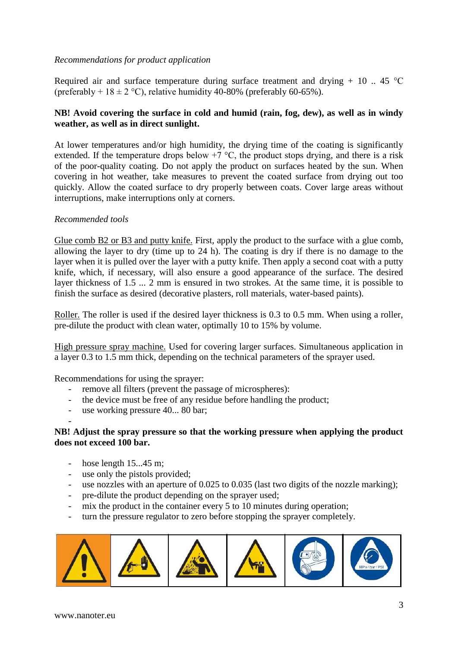# *Recommendations for product application*

Required air and surface temperature during surface treatment and drying  $+10$  .. 45 °C (preferably +  $18 \pm 2$  °C), relative humidity 40-80% (preferably 60-65%).

# **NB! Avoid covering the surface in cold and humid (rain, fog, dew), as well as in windy weather, as well as in direct sunlight.**

At lower temperatures and/or high humidity, the drying time of the coating is significantly extended. If the temperature drops below  $+7$  °C, the product stops drying, and there is a risk of the poor-quality coating. Do not apply the product on surfaces heated by the sun. When covering in hot weather, take measures to prevent the coated surface from drying out too quickly. Allow the coated surface to dry properly between coats. Cover large areas without interruptions, make interruptions only at corners.

#### *Recommended tools*

Glue comb B2 or B3 and putty knife. First, apply the product to the surface with a glue comb, allowing the layer to dry (time up to 24 h). The coating is dry if there is no damage to the layer when it is pulled over the layer with a putty knife. Then apply a second coat with a putty knife, which, if necessary, will also ensure a good appearance of the surface. The desired layer thickness of 1.5 ... 2 mm is ensured in two strokes. At the same time, it is possible to finish the surface as desired (decorative plasters, roll materials, water-based paints).

Roller. The roller is used if the desired layer thickness is 0.3 to 0.5 mm. When using a roller, pre-dilute the product with clean water, optimally 10 to 15% by volume.

High pressure spray machine. Used for covering larger surfaces. Simultaneous application in a layer 0.3 to 1.5 mm thick, depending on the technical parameters of the sprayer used.

Recommendations for using the sprayer:

- remove all filters (prevent the passage of microspheres):
- the device must be free of any residue before handling the product;
- use working pressure 40... 80 bar;
- **NB! Adjust the spray pressure so that the working pressure when applying the product does not exceed 100 bar.**
	- hose length 15...45 m;
	- use only the pistols provided;
	- use nozzles with an aperture of 0.025 to 0.035 (last two digits of the nozzle marking);
	- pre-dilute the product depending on the sprayer used;
	- mix the product in the container every 5 to 10 minutes during operation;
	- turn the pressure regulator to zero before stopping the sprayer completely.

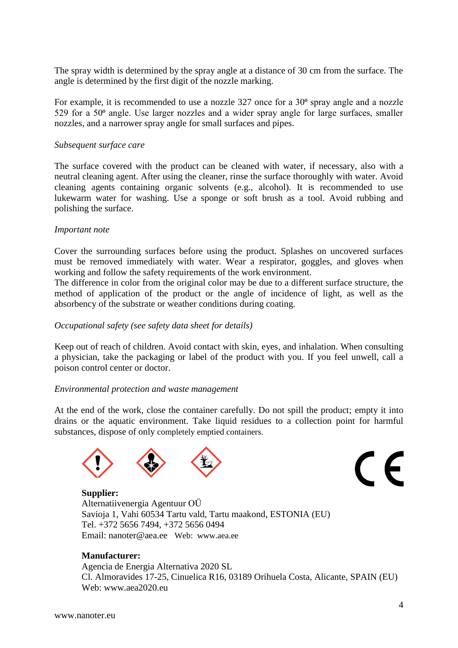The spray width is determined by the spray angle at a distance of 30 cm from the surface. The angle is determined by the first digit of the nozzle marking.

For example, it is recommended to use a nozzle  $327$  once for a  $30^{\circ}$  spray angle and a nozzle 529 for a  $50<sup>o</sup>$  angle. Use larger nozzles and a wider spray angle for large surfaces, smaller nozzles, and a narrower spray angle for small surfaces and pipes.

#### *Subsequent surface care*

The surface covered with the product can be cleaned with water, if necessary, also with a neutral cleaning agent. After using the cleaner, rinse the surface thoroughly with water. Avoid cleaning agents containing organic solvents (e.g., alcohol). It is recommended to use lukewarm water for washing. Use a sponge or soft brush as a tool. Avoid rubbing and polishing the surface.

#### *Important note*

Cover the surrounding surfaces before using the product. Splashes on uncovered surfaces must be removed immediately with water. Wear a respirator, goggles, and gloves when working and follow the safety requirements of the work environment.

The difference in color from the original color may be due to a different surface structure, the method of application of the product or the angle of incidence of light, as well as the absorbency of the substrate or weather conditions during coating.

#### *Occupational safety (see safety data sheet for details)*

Keep out of reach of children. Avoid contact with skin, eyes, and inhalation. When consulting a physician, take the packaging or label of the product with you. If you feel unwell, call a poison control center or doctor.

#### *Environmental protection and waste management*

At the end of the work, close the container carefully. Do not spill the product; empty it into drains or the aquatic environment. Take liquid residues to a collection point for harmful substances, dispose of only completely emptied containers.



# $\epsilon$

**Supplier:** Alternatiivenergia Agentuur OÜ Savioja 1, Vahi 60534 Tartu vald, Tartu maakond, ESTONIA (EU) Tel. +372 5656 7494, +372 5656 0494 Email: nanoter@aea.ee Web: www.aea.ee

#### **Manufacturer:**

Agencia de Energia Alternativa 2020 SL Cl. Almoravides 17-25, Cinuelica R16, 03189 Orihuela Costa, Alicante, SPAIN (EU) Web: www.aea2020.eu